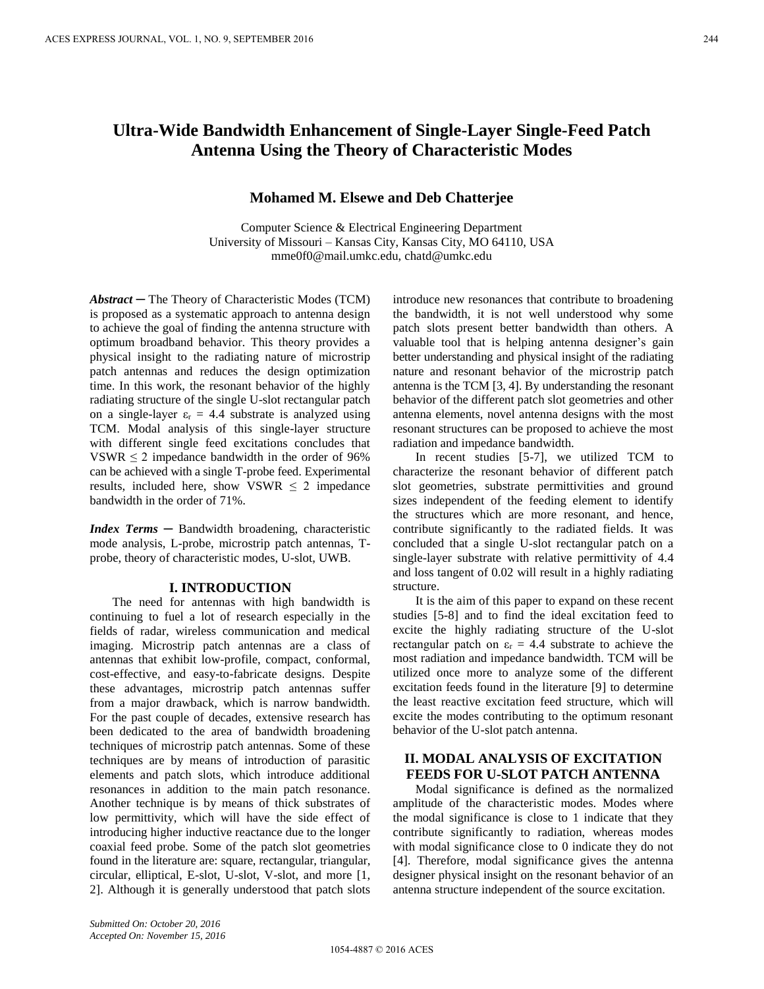# **Ultra-Wide Bandwidth Enhancement of Single-Layer Single-Feed Patch Antenna Using the Theory of Characteristic Modes**

### **Mohamed M. Elsewe and Deb Chatterjee**

Computer Science & Electrical Engineering Department University of Missouri – Kansas City, Kansas City, MO 64110, USA mme0f0@mail.umkc.edu, chatd@umkc.edu

*Abstract* ─ The Theory of Characteristic Modes (TCM) is proposed as a systematic approach to antenna design to achieve the goal of finding the antenna structure with optimum broadband behavior. This theory provides a physical insight to the radiating nature of microstrip patch antennas and reduces the design optimization time. In this work, the resonant behavior of the highly radiating structure of the single U-slot rectangular patch on a single-layer  $\varepsilon_r = 4.4$  substrate is analyzed using TCM. Modal analysis of this single-layer structure with different single feed excitations concludes that VSWR  $\leq$  2 impedance bandwidth in the order of 96% can be achieved with a single T-probe feed. Experimental results, included here, show VSWR  $\leq$  2 impedance bandwidth in the order of 71%.

*Index Terms* ─ Bandwidth broadening, characteristic mode analysis, L-probe, microstrip patch antennas, Tprobe, theory of characteristic modes, U-slot, UWB.

#### **I. INTRODUCTION**

The need for antennas with high bandwidth is continuing to fuel a lot of research especially in the fields of radar, wireless communication and medical imaging. Microstrip patch antennas are a class of antennas that exhibit low-profile, compact, conformal, cost-effective, and easy-to-fabricate designs. Despite these advantages, microstrip patch antennas suffer from a major drawback, which is narrow bandwidth. For the past couple of decades, extensive research has been dedicated to the area of bandwidth broadening techniques of microstrip patch antennas. Some of these techniques are by means of introduction of parasitic elements and patch slots, which introduce additional resonances in addition to the main patch resonance. Another technique is by means of thick substrates of low permittivity, which will have the side effect of introducing higher inductive reactance due to the longer coaxial feed probe. Some of the patch slot geometries found in the literature are: square, rectangular, triangular, circular, elliptical, E-slot, U-slot, V-slot, and more [1, 2]. Although it is generally understood that patch slots

introduce new resonances that contribute to broadening the bandwidth, it is not well understood why some patch slots present better bandwidth than others. A valuable tool that is helping antenna designer's gain better understanding and physical insight of the radiating nature and resonant behavior of the microstrip patch antenna is the TCM [3, 4]. By understanding the resonant behavior of the different patch slot geometries and other antenna elements, novel antenna designs with the most resonant structures can be proposed to achieve the most radiation and impedance bandwidth.

In recent studies [5-7], we utilized TCM to characterize the resonant behavior of different patch slot geometries, substrate permittivities and ground sizes independent of the feeding element to identify the structures which are more resonant, and hence, contribute significantly to the radiated fields. It was concluded that a single U-slot rectangular patch on a single-layer substrate with relative permittivity of 4.4 and loss tangent of 0.02 will result in a highly radiating structure.

It is the aim of this paper to expand on these recent studies [5-8] and to find the ideal excitation feed to excite the highly radiating structure of the U-slot rectangular patch on  $\varepsilon_r = 4.4$  substrate to achieve the most radiation and impedance bandwidth. TCM will be utilized once more to analyze some of the different excitation feeds found in the literature [9] to determine the least reactive excitation feed structure, which will excite the modes contributing to the optimum resonant behavior of the U-slot patch antenna.

## **II. MODAL ANALYSIS OF EXCITATION FEEDS FOR U-SLOT PATCH ANTENNA**

Modal significance is defined as the normalized amplitude of the characteristic modes. Modes where the modal significance is close to 1 indicate that they contribute significantly to radiation, whereas modes with modal significance close to 0 indicate they do not [4]. Therefore, modal significance gives the antenna designer physical insight on the resonant behavior of an antenna structure independent of the source excitation.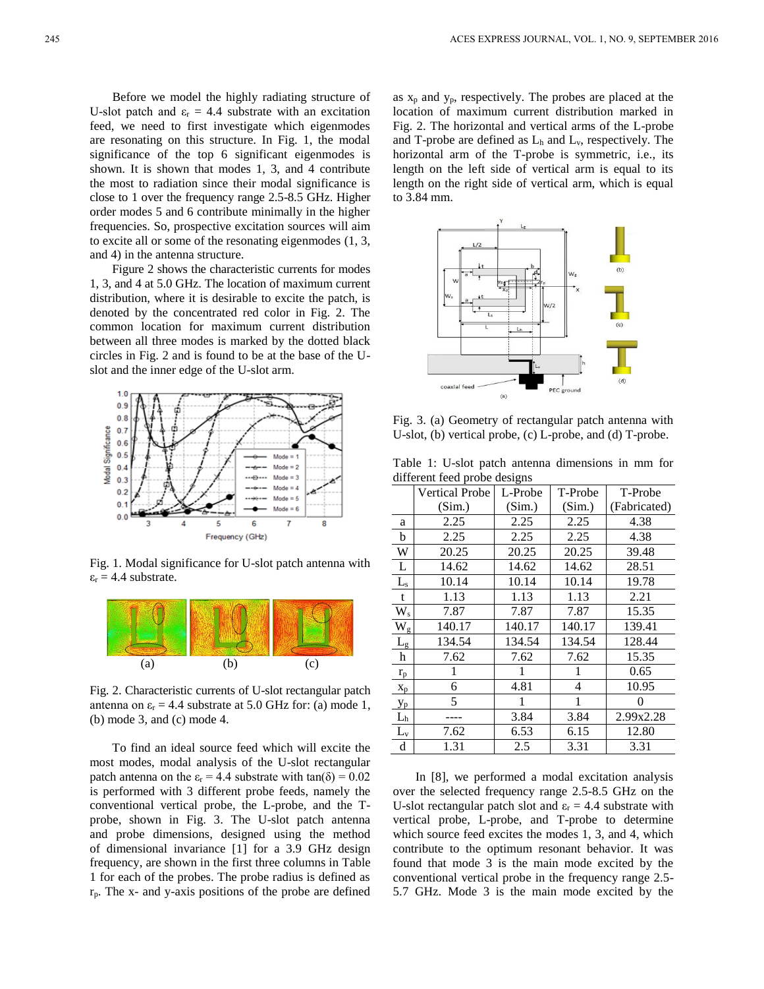Before we model the highly radiating structure of U-slot patch and  $\varepsilon_r = 4.4$  substrate with an excitation feed, we need to first investigate which eigenmodes are resonating on this structure. In Fig. 1, the modal significance of the top 6 significant eigenmodes is shown. It is shown that modes 1, 3, and 4 contribute the most to radiation since their modal significance is close to 1 over the frequency range 2.5-8.5 GHz. Higher order modes 5 and 6 contribute minimally in the higher frequencies. So, prospective excitation sources will aim to excite all or some of the resonating eigenmodes (1, 3, and 4) in the antenna structure.

Figure 2 shows the characteristic currents for modes 1, 3, and 4 at 5.0 GHz. The location of maximum current distribution, where it is desirable to excite the patch, is denoted by the concentrated red color in Fig. 2. The common location for maximum current distribution between all three modes is marked by the dotted black circles in Fig. 2 and is found to be at the base of the Uslot and the inner edge of the U-slot arm.



Fig. 1. Modal significance for U-slot patch antenna with  $\varepsilon$ <sub>r</sub> = 4.4 substrate.



Fig. 2. Characteristic currents of U-slot rectangular patch antenna on  $\varepsilon_r = 4.4$  substrate at 5.0 GHz for: (a) mode 1, (b) mode 3, and (c) mode 4.

To find an ideal source feed which will excite the most modes, modal analysis of the U-slot rectangular patch antenna on the  $\varepsilon_r = 4.4$  substrate with tan( $\delta$ ) = 0.02 is performed with 3 different probe feeds, namely the conventional vertical probe, the L-probe, and the Tprobe, shown in Fig. 3. The U-slot patch antenna and probe dimensions, designed using the method of dimensional invariance [1] for a 3.9 GHz design frequency, are shown in the first three columns in Table 1 for each of the probes. The probe radius is defined as rp. The x- and y-axis positions of the probe are defined as  $x_p$  and  $y_p$ , respectively. The probes are placed at the location of maximum current distribution marked in Fig. 2. The horizontal and vertical arms of the L-probe and T-probe are defined as  $L<sub>h</sub>$  and  $L<sub>v</sub>$ , respectively. The horizontal arm of the T-probe is symmetric, i.e., its length on the left side of vertical arm is equal to its length on the right side of vertical arm, which is equal to 3.84 mm.



Fig. 3. (a) Geometry of rectangular patch antenna with U-slot, (b) vertical probe, (c) L-probe, and (d) T-probe.

Table 1: U-slot patch antenna dimensions in mm for different feed probe designs

|                       | <b>Vertical Probe</b> | L-Probe | T-Probe | T-Probe      |
|-----------------------|-----------------------|---------|---------|--------------|
|                       | (Sim.)                | (Sim.)  | (Sim.)  | (Fabricated) |
| a                     | 2.25                  | 2.25    | 2.25    | 4.38         |
| b                     | 2.25                  | 2.25    | 2.25    | 4.38         |
| W                     | 20.25                 | 20.25   | 20.25   | 39.48        |
| L                     | 14.62                 | 14.62   | 14.62   | 28.51        |
| $L_{s}$               | 10.14                 | 10.14   | 10.14   | 19.78        |
| t                     | 1.13                  | 1.13    | 1.13    | 2.21         |
| $W_{s}$               | 7.87                  | 7.87    | 7.87    | 15.35        |
| $\rm W_g$             | 140.17                | 140.17  | 140.17  | 139.41       |
| $\rm L_g$             | 134.54                | 134.54  | 134.54  | 128.44       |
| h                     | 7.62                  | 7.62    | 7.62    | 15.35        |
| $r_{\rm p}$           | 1                     | 1       | 1       | 0.65         |
| $\mathbf{x}_\text{p}$ | 6                     | 4.81    | 4       | 10.95        |
| $y_p$                 | 5                     | 1       | 1       | 0            |
| $L_{\rm h}$           |                       | 3.84    | 3.84    | 2.99x2.28    |
| $L_{\rm v}$           | 7.62                  | 6.53    | 6.15    | 12.80        |
| d                     | 1.31                  | 2.5     | 3.31    | 3.31         |

In [8], we performed a modal excitation analysis over the selected frequency range 2.5-8.5 GHz on the U-slot rectangular patch slot and  $\varepsilon_r = 4.4$  substrate with vertical probe, L-probe, and T-probe to determine which source feed excites the modes 1, 3, and 4, which contribute to the optimum resonant behavior. It was found that mode 3 is the main mode excited by the conventional vertical probe in the frequency range 2.5- 5.7 GHz. Mode 3 is the main mode excited by the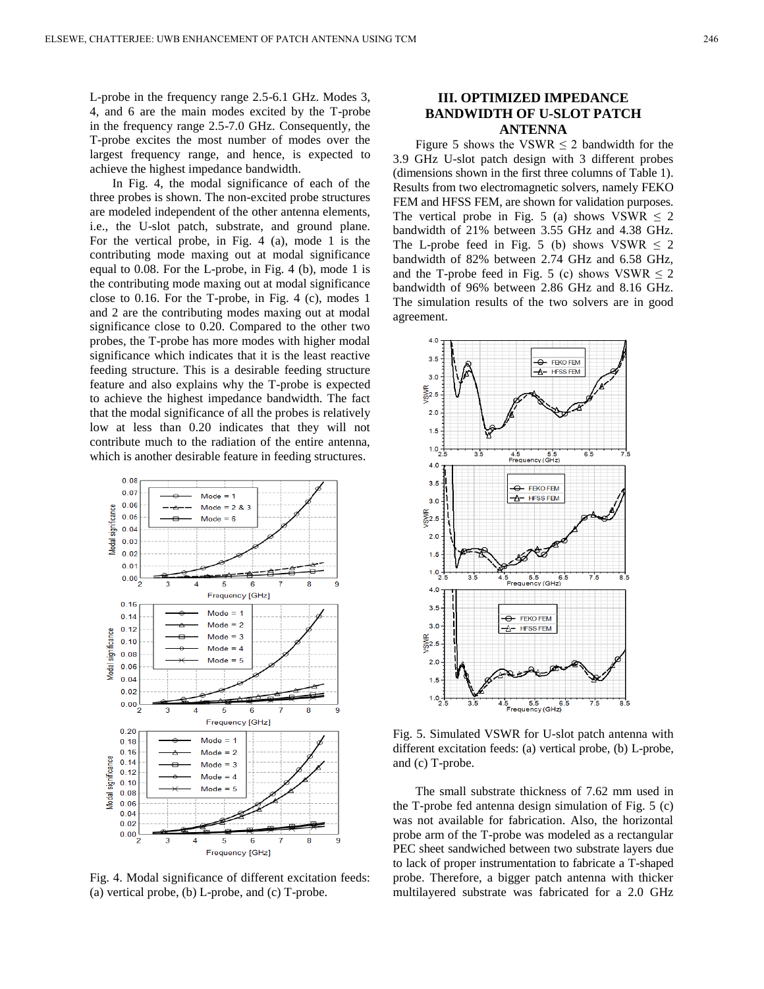L-probe in the frequency range 2.5-6.1 GHz. Modes 3, 4, and 6 are the main modes excited by the T-probe in the frequency range 2.5-7.0 GHz. Consequently, the T-probe excites the most number of modes over the largest frequency range, and hence, is expected to achieve the highest impedance bandwidth.

In Fig. 4, the modal significance of each of the three probes is shown. The non-excited probe structures are modeled independent of the other antenna elements, i.e., the U-slot patch, substrate, and ground plane. For the vertical probe, in Fig. 4 (a), mode 1 is the contributing mode maxing out at modal significance equal to 0.08. For the L-probe, in Fig. 4 (b), mode 1 is the contributing mode maxing out at modal significance close to 0.16. For the T-probe, in Fig. 4 (c), modes 1 and 2 are the contributing modes maxing out at modal significance close to 0.20. Compared to the other two probes, the T-probe has more modes with higher modal significance which indicates that it is the least reactive feeding structure. This is a desirable feeding structure feature and also explains why the T-probe is expected to achieve the highest impedance bandwidth. The fact that the modal significance of all the probes is relatively low at less than 0.20 indicates that they will not contribute much to the radiation of the entire antenna, which is another desirable feature in feeding structures.



Fig. 4. Modal significance of different excitation feeds: (a) vertical probe, (b) L-probe, and (c) T-probe.

# **III. OPTIMIZED IMPEDANCE BANDWIDTH OF U-SLOT PATCH ANTENNA**

Figure 5 shows the VSWR  $\leq$  2 bandwidth for the 3.9 GHz U-slot patch design with 3 different probes (dimensions shown in the first three columns of Table 1). Results from two electromagnetic solvers, namely FEKO FEM and HFSS FEM, are shown for validation purposes. The vertical probe in Fig. 5 (a) shows VSWR  $\leq$  2 bandwidth of 21% between 3.55 GHz and 4.38 GHz. The L-probe feed in Fig. 5 (b) shows VSWR  $\leq$  2 bandwidth of 82% between 2.74 GHz and 6.58 GHz, and the T-probe feed in Fig. 5 (c) shows VSWR  $\leq 2$ bandwidth of 96% between 2.86 GHz and 8.16 GHz. The simulation results of the two solvers are in good agreement.



Fig. 5. Simulated VSWR for U-slot patch antenna with different excitation feeds: (a) vertical probe, (b) L-probe, and (c) T-probe.

The small substrate thickness of 7.62 mm used in the T-probe fed antenna design simulation of Fig. 5 (c) was not available for fabrication. Also, the horizontal probe arm of the T-probe was modeled as a rectangular PEC sheet sandwiched between two substrate layers due to lack of proper instrumentation to fabricate a T-shaped probe. Therefore, a bigger patch antenna with thicker multilayered substrate was fabricated for a 2.0 GHz